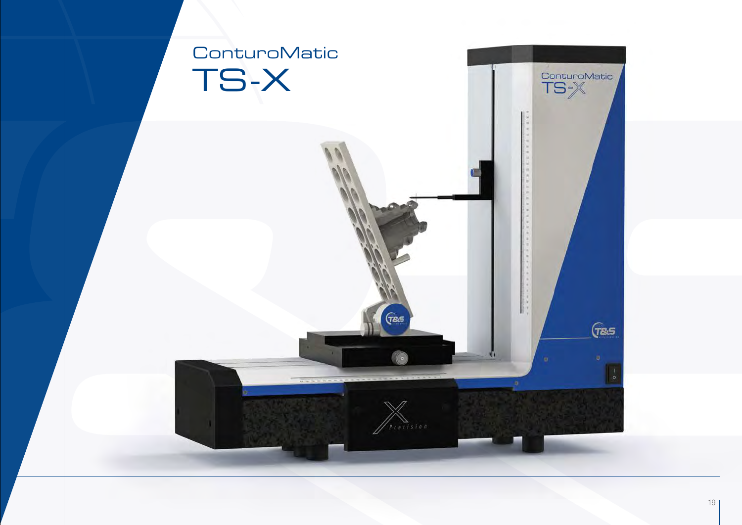